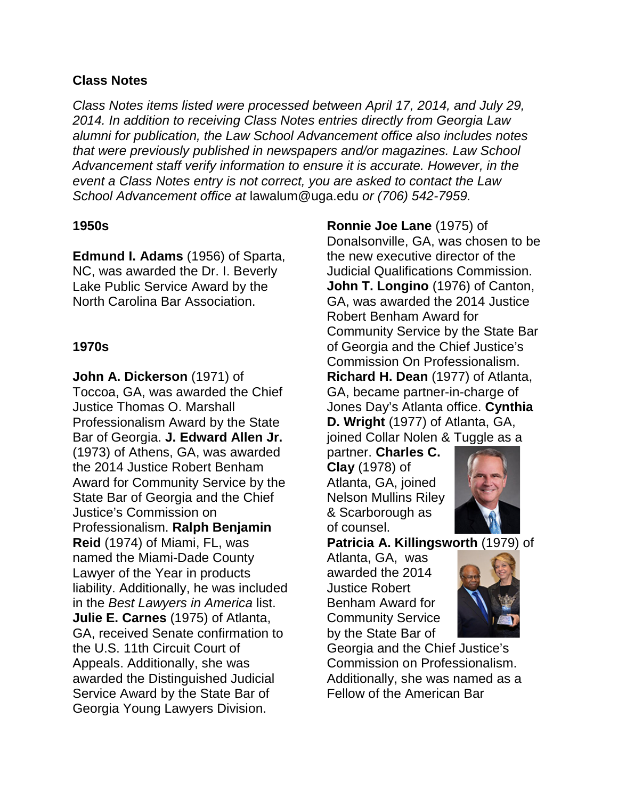#### **Class Notes**

*Class Notes items listed were processed between April 17, 2014, and July 29, 2014. In addition to receiving Class Notes entries directly from Georgia Law alumni for publication, the Law School Advancement office also includes notes that were previously published in newspapers and/or magazines. Law School Advancement staff verify information to ensure it is accurate. However, in the event a Class Notes entry is not correct, you are asked to contact the Law School Advancement office at* lawalum@uga.edu *or (706) 542-7959.*

#### **1950s**

**Edmund I. Adams** (1956) of Sparta, NC, was awarded the Dr. I. Beverly Lake Public Service Award by the North Carolina Bar Association.

#### **1970s**

**John A. Dickerson** (1971) of Toccoa, GA, was awarded the Chief Justice Thomas O. Marshall Professionalism Award by the State Bar of Georgia. **J. Edward Allen Jr.**  (1973) of Athens, GA, was awarded the 2014 Justice Robert Benham Award for Community Service by the State Bar of Georgia and the Chief Justice's Commission on Professionalism. **Ralph Benjamin Reid** (1974) of Miami, FL, was named the Miami-Dade County Lawyer of the Year in products liability. Additionally, he was included in the *Best Lawyers in America* list. **Julie E. Carnes** (1975) of Atlanta, GA, received Senate confirmation to the U.S. 11th Circuit Court of Appeals. Additionally, she was awarded the Distinguished Judicial Service Award by the State Bar of Georgia Young Lawyers Division.

**Ronnie Joe Lane** (1975) of Donalsonville, GA, was chosen to be the new executive director of the Judicial Qualifications Commission. **John T. Longino** (1976) of Canton, GA, was awarded the 2014 Justice Robert Benham Award for Community Service by the State Bar of Georgia and the Chief Justice's Commission On Professionalism. **Richard H. Dean** (1977) of Atlanta, GA, became partner-in-charge of Jones Day's Atlanta office. **Cynthia D. Wright** (1977) of Atlanta, GA,

joined Collar Nolen & Tuggle as a partner. **Charles C. Clay** (1978) of Atlanta, GA, joined Nelson Mullins Riley & Scarborough as of counsel.



**Patricia A. Killingsworth** (1979) of

Atlanta, GA, was awarded the 2014 Justice Robert Benham Award for Community Service by the State Bar of



Georgia and the Chief Justice's Commission on Professionalism. Additionally, she was named as a Fellow of the American Bar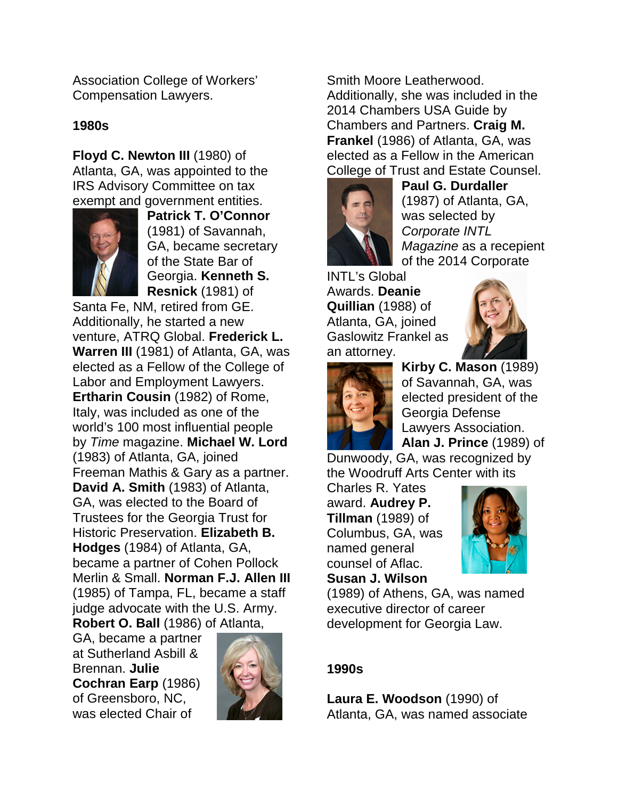Association College of Workers' Compensation Lawyers.

### **1980s**

**Floyd C. Newton III** (1980) of Atlanta, GA, was appointed to the IRS Advisory Committee on tax exempt and government entities.



**Patrick T. O'Connor** (1981) of Savannah, GA, became secretary of the State Bar of Georgia. **Kenneth S. Resnick** (1981) of

Santa Fe, NM, retired from GE. Additionally, he started a new venture, ATRQ Global. **Frederick L. Warren III** (1981) of Atlanta, GA, was elected as a Fellow of the College of Labor and Employment Lawyers. **Ertharin Cousin** (1982) of Rome, Italy, was included as one of the world's 100 most influential people by *Time* magazine. **Michael W. Lord** (1983) of Atlanta, GA, joined Freeman Mathis & Gary as a partner. **David A. Smith** (1983) of Atlanta, GA, was elected to the Board of Trustees for the Georgia Trust for Historic Preservation. **Elizabeth B. Hodges** (1984) of Atlanta, GA, became a partner of Cohen Pollock Merlin & Small. **Norman F.J. Allen III** (1985) of Tampa, FL, became a staff judge advocate with the U.S. Army. **Robert O. Ball** (1986) of Atlanta,

GA, became a partner at Sutherland Asbill & Brennan. **Julie Cochran Earp** (1986) of Greensboro, NC, was elected Chair of



Smith Moore Leatherwood. Additionally, she was included in the 2014 Chambers USA Guide by Chambers and Partners. **Craig M. Frankel** (1986) of Atlanta, GA, was elected as a Fellow in the American College of Trust and Estate Counsel.



**Paul G. Durdaller** (1987) of Atlanta, GA, was selected by *Corporate INTL Magazine* as a recepient of the 2014 Corporate

INTL's Global Awards. **Deanie Quillian** (1988) of Atlanta, GA, joined Gaslowitz Frankel as an attorney.





**Kirby C. Mason** (1989) of Savannah, GA, was elected president of the Georgia Defense Lawyers Association. **Alan J. Prince** (1989) of

Dunwoody, GA, was recognized by the Woodruff Arts Center with its

Charles R. Yates award. **Audrey P. Tillman** (1989) of Columbus, GA, was named general counsel of Aflac. **Susan J. Wilson** 



(1989) of Athens, GA, was named executive director of career development for Georgia Law.

# **1990s**

**Laura E. Woodson** (1990) of Atlanta, GA, was named associate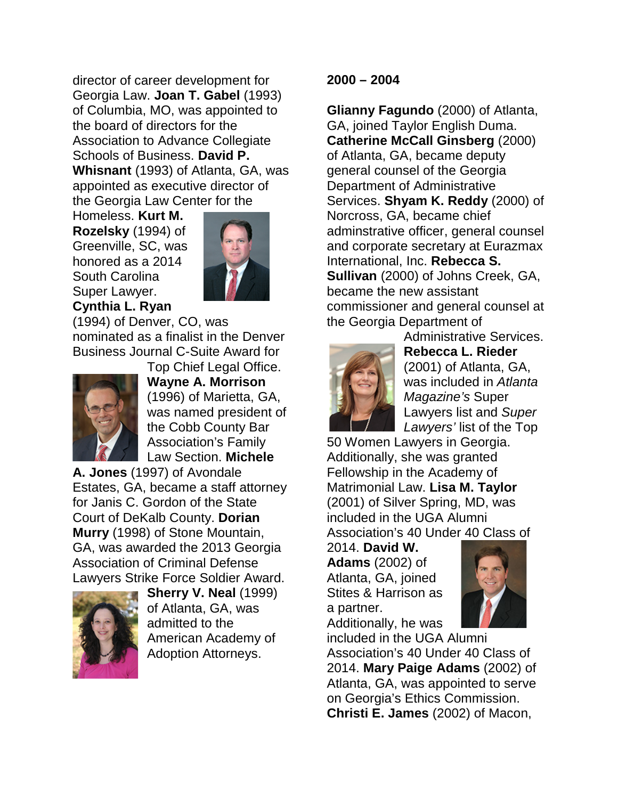director of career development for Georgia Law. **Joan T. Gabel** (1993) of Columbia, MO, was appointed to the board of directors for the Association to Advance Collegiate Schools of Business. **David P. Whisnant** (1993) of Atlanta, GA, was appointed as executive director of the Georgia Law Center for the

Homeless. **Kurt M. Rozelsky** (1994) of Greenville, SC, was honored as a 2014 South Carolina Super Lawyer. **Cynthia L. Ryan**



(1994) of Denver, CO, was nominated as a finalist in the Denver Business Journal C-Suite Award for



Top Chief Legal Office. **Wayne A. Morrison** (1996) of Marietta, GA, was named president of the Cobb County Bar Association's Family Law Section. **Michele** 

**A. Jones** (1997) of Avondale Estates, GA, became a staff attorney for Janis C. Gordon of the State Court of DeKalb County. **Dorian Murry** (1998) of Stone Mountain, GA, was awarded the 2013 Georgia Association of Criminal Defense Lawyers Strike Force Soldier Award.



**Sherry V. Neal** (1999) of Atlanta, GA, was admitted to the American Academy of Adoption Attorneys.

### **2000 – 2004**

**Glianny Fagundo** (2000) of Atlanta, GA, joined Taylor English Duma. **Catherine McCall Ginsberg** (2000) of Atlanta, GA, became deputy general counsel of the Georgia Department of Administrative Services. **Shyam K. Reddy** (2000) of Norcross, GA, became chief adminstrative officer, general counsel and corporate secretary at Eurazmax International, Inc. **Rebecca S. Sullivan** (2000) of Johns Creek, GA, became the new assistant commissioner and general counsel at the Georgia Department of



Administrative Services. **Rebecca L. Rieder** (2001) of Atlanta, GA, was included in *Atlanta Magazine's* Super Lawyers list and *Super Lawyers'* list of the Top

50 Women Lawyers in Georgia. Additionally, she was granted Fellowship in the Academy of Matrimonial Law. **Lisa M. Taylor** (2001) of Silver Spring, MD, was included in the UGA Alumni Association's 40 Under 40 Class of

2014. **David W. Adams** (2002) of Atlanta, GA, joined Stites & Harrison as a partner. Additionally, he was



included in the UGA Alumni Association's 40 Under 40 Class of 2014. **Mary Paige Adams** (2002) of Atlanta, GA, was appointed to serve on Georgia's Ethics Commission. **Christi E. James** (2002) of Macon,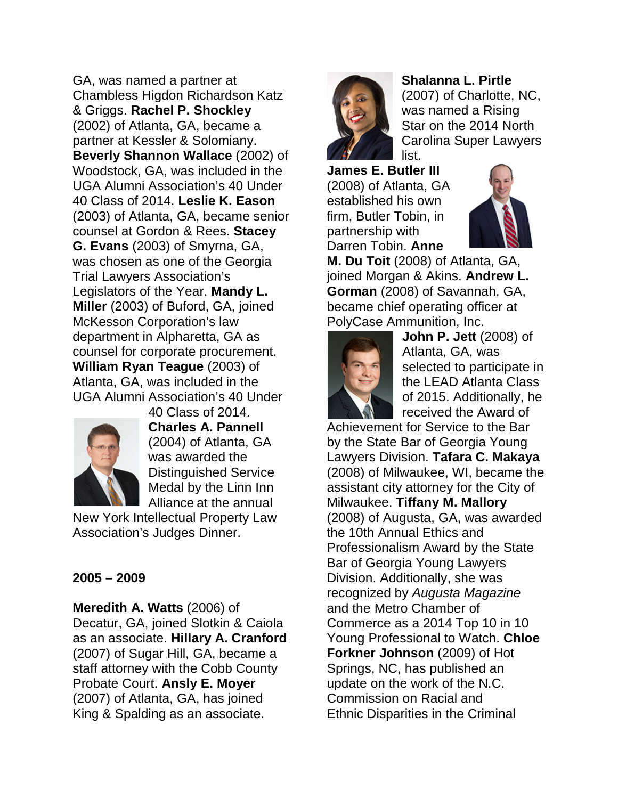GA, was named a partner at Chambless Higdon Richardson Katz & Griggs. **Rachel P. Shockley** (2002) of Atlanta, GA, became a partner at Kessler & Solomiany. **Beverly Shannon Wallace** (2002) of Woodstock, GA, was included in the UGA Alumni Association's 40 Under 40 Class of 2014. **Leslie K. Eason** (2003) of Atlanta, GA, became senior counsel at Gordon & Rees. **Stacey G. Evans** (2003) of Smyrna, GA, was chosen as one of the Georgia Trial Lawyers Association's Legislators of the Year. **Mandy L. Miller** (2003) of Buford, GA, joined McKesson Corporation's law department in Alpharetta, GA as counsel for corporate procurement. **William Ryan Teague** (2003) of Atlanta, GA, was included in the UGA Alumni Association's 40 Under



40 Class of 2014. **Charles A. Pannell** (2004) of Atlanta, GA was awarded the Distinguished Service Medal by the Linn Inn Alliance at the annual

New York Intellectual Property Law Association's Judges Dinner.

# **2005 – 2009**

**Meredith A. Watts** (2006) of Decatur, GA, joined Slotkin & Caiola as an associate. **Hillary A. Cranford**  (2007) of Sugar Hill, GA, became a staff attorney with the Cobb County Probate Court. **Ansly E. Moyer** (2007) of Atlanta, GA, has joined King & Spalding as an associate.



**Shalanna L. Pirtle** (2007) of Charlotte, NC, was named a Rising Star on the 2014 North Carolina Super Lawyers list.

**James E. Butler III** (2008) of Atlanta, GA established his own firm, Butler Tobin, in partnership with Darren Tobin. **Anne** 



**M. Du Toit** (2008) of Atlanta, GA, joined Morgan & Akins. **Andrew L. Gorman** (2008) of Savannah, GA, became chief operating officer at PolyCase Ammunition, Inc.



**John P. Jett** (2008) of Atlanta, GA, was selected to participate in the LEAD Atlanta Class of 2015. Additionally, he received the Award of

Achievement for Service to the Bar by the State Bar of Georgia Young Lawyers Division. **Tafara C. Makaya** (2008) of Milwaukee, WI, became the assistant city attorney for the City of Milwaukee. **Tiffany M. Mallory** (2008) of Augusta, GA, was awarded the 10th Annual Ethics and Professionalism Award by the State Bar of Georgia Young Lawyers Division. Additionally, she was recognized by *Augusta Magazine* and the Metro Chamber of Commerce as a 2014 Top 10 in 10 Young Professional to Watch. **Chloe Forkner Johnson** (2009) of Hot Springs, NC, has published an update on the work of the N.C. Commission on Racial and Ethnic Disparities in the Criminal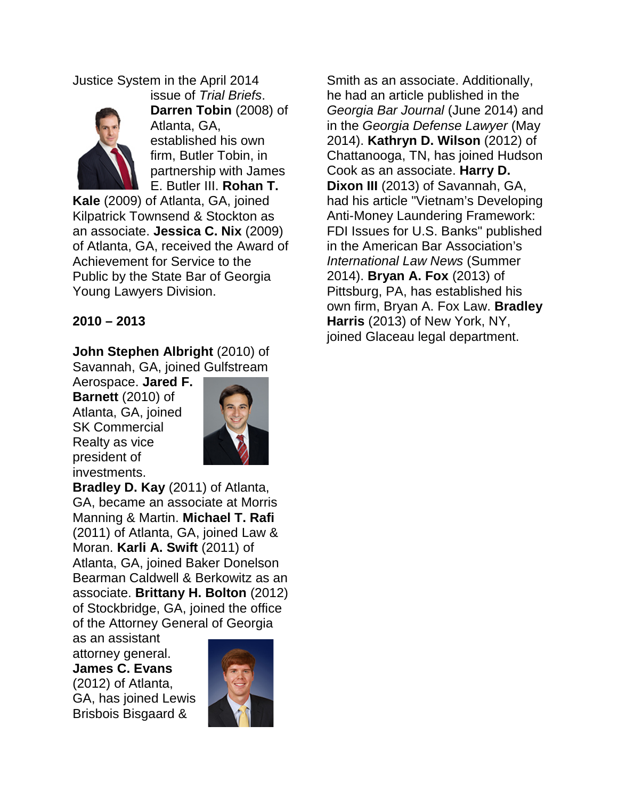Justice System in the April 2014



issue of *Trial Briefs*. **Darren Tobin** (2008) of Atlanta, GA, established his own firm, Butler Tobin, in partnership with James E. Butler III. **Rohan T.** 

**Kale** (2009) of Atlanta, GA, joined Kilpatrick Townsend & Stockton as an associate. **Jessica C. Nix** (2009) of Atlanta, GA, received the Award of Achievement for Service to the Public by the State Bar of Georgia Young Lawyers Division.

# **2010 – 2013**

**John Stephen Albright** (2010) of Savannah, GA, joined Gulfstream

Aerospace. **Jared F. Barnett** (2010) of Atlanta, GA, joined SK Commercial Realty as vice president of investments.



**Bradley D. Kay** (2011) of Atlanta, GA, became an associate at Morris Manning & Martin. **Michael T. Rafi** (2011) of Atlanta, GA, joined Law & Moran. **Karli A. Swift** (2011) of Atlanta, GA, joined Baker Donelson Bearman Caldwell & Berkowitz as an associate. **Brittany H. Bolton** (2012) of Stockbridge, GA, joined the office of the Attorney General of Georgia

as an assistant attorney general. **James C. Evans** (2012) of Atlanta, GA, has joined Lewis Brisbois Bisgaard &



Smith as an associate. Additionally, he had an article published in the *Georgia Bar Journal* (June 2014) and in the *Georgia Defense Lawyer* (May 2014). **Kathryn D. Wilson** (2012) of Chattanooga, TN, has joined Hudson Cook as an associate. **Harry D. Dixon III** (2013) of Savannah, GA, had his article "Vietnam's Developing Anti-Money Laundering Framework: FDI Issues for U.S. Banks" published in the American Bar Association's *International Law News* (Summer 2014). **Bryan A. Fox** (2013) of Pittsburg, PA, has established his own firm, Bryan A. Fox Law. **Bradley Harris** (2013) of New York, NY, joined Glaceau legal department.